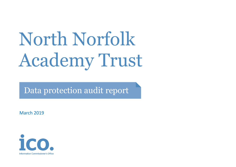# North Norfolk Academy Trust

Data protection audit report

March 2019

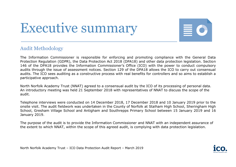## Executive summary



#### Audit Methodology

The Information Commissioner is responsible for enforcing and promoting compliance with the General Data Protection Regulation (GDPR), the Data Protection Act 2018 (DPA18) and other data protection legislation. Section 146 of the DPA18 provides the Information Commissioner's Office (ICO) with the power to conduct compulsory audits through the issue of assessment notices. Section 129 of the DPA18 allows the ICO to carry out consensual audits. The ICO sees auditing as a constructive process with real benefits for controllers and so aims to establish a participative approach.

North Norfolk Academy Trust (NNAT) agreed to a consensual audit by the ICO of its processing of personal data. An introductory meeting was held 21 September 2018 with representatives of NNAT to discuss the scope of the audit.

Telephone interviews were conducted on 14 December 2018, 17 December 2018 and 10 January 2019 prior to the onsite visit. The audit fieldwork was undertaken in the County of Norfolk at Stalham High School, Sheringham High School, Gresham Village School and Antigham and Southrepps Primary School between 15 January 2019 and 16 January 2019.

The purpose of the audit is to provide the Information Commissioner and NNAT with an independent assurance of the extent to which NNAT, within the scope of this agreed audit, is complying with data protection legislation.

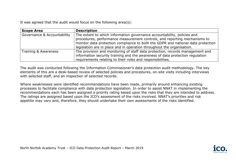It was agreed that the audit would focus on the following area(s):

| <b>Scope Area</b>           | <b>Description</b>                                                                                                                                                                                                                                                                                                 |  |
|-----------------------------|--------------------------------------------------------------------------------------------------------------------------------------------------------------------------------------------------------------------------------------------------------------------------------------------------------------------|--|
| Governance & Accountability | The extent to which information governance accountability, policies and<br>procedures, performance measurement controls, and reporting mechanisms to<br>monitor data protection compliance to both the GDPR and national data protection<br>legislation are in place and in operation throughout the organisation. |  |
| Training & Awareness        | The provision and monitoring of staff data protection, records management and<br>information security training and the awareness of data protection regulation<br>requirements relating to their roles and responsibilities.                                                                                       |  |

The audit was conducted following the Information Commissioner's data protection audit methodology. The key elements of this are a desk-based review of selected policies and procedures, on-site visits including interviews with selected staff, and an inspection of selected records.

Where weaknesses were identified recommendations have been made, primarily around enhancing existing processes to facilitate compliance with data protection legislation. In order to assist NNAT in implementing the recommendations each has been assigned a priority rating based upon the risks that they are intended to address. The ratings are assigned based upon the ICO's assessment of the risks involved. NNAT's priorities and risk appetite may vary and, therefore, they should undertake their own assessments of the risks identified.

North Norfolk Academy Trust – ICO Data Protection Audit Report – March 2019

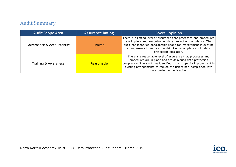### Audit Summary

| Audit Scope Area            | <b>Assurance Rating</b> | Overall opinion                                                                                                                                                                                                                                                                                         |
|-----------------------------|-------------------------|---------------------------------------------------------------------------------------------------------------------------------------------------------------------------------------------------------------------------------------------------------------------------------------------------------|
| Governance & Accountability | Limited                 | There is a limited level of assurance that processes and procedures<br>are in place and are delivering data protection compliance. The<br>audit has identified considerable scope for improvement in existing<br>arrangements to reduce the risk of non-compliance with data<br>protection legislation. |
| Training & Awareness        | Reasonable              | There is a reasonable level of assurance that processes and<br>procedures are in place and are delivering data protection<br>compliance. The audit has identified some scope for improvement in<br>existing arrangements to reduce the risk of non-compliance with<br>data protection legislation.      |

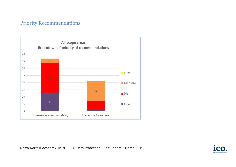#### Priority Recommendations



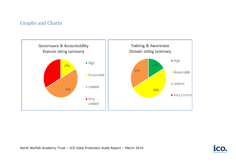#### Graphs and Charts



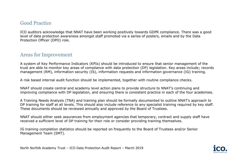#### Good Practice

ICO auditors acknowledge that NNAT have been working positively towards GDPR compliance. There was a good level of data protection awareness amongst staff promoted via a series of posters, emails and by the Data Protection Officer (DPO) role.

#### Areas for Improvement

A system of Key Performance Indicators (KPIs) should be introduced to ensure that senior management of the trust are able to monitor key areas of compliance with data protection (DP) legislation. Key areas include; records management (RM), information security (IS), information requests and information governance (IG) training.

A risk based internal audit function should be implemented, together with routine compliance checks.

NNAT should create central and academy level action plans to provide structure to NNAT's continuing and improving compliance with DP legislation, and ensuring there is consistent practice in each of the four academies.

A Training Needs Analysis (TNA) and training plan should be formally documented to outline NNAT's approach to DP training for staff at all levels. This should also include reference to any specialist training required by key staff. These documents should be reviewed annually and approved by the Board of Trustees.

NNAT should either seek assurances from employment agencies that temporary, contract and supply staff have received a sufficient level of DP training for their role or consider providing training themselves.

IG training completion statistics should be reported on frequently to the Board of Trustees and/or Senior Management Team (SMT).

North Norfolk Academy Trust – ICO Data Protection Audit Report – March 2019